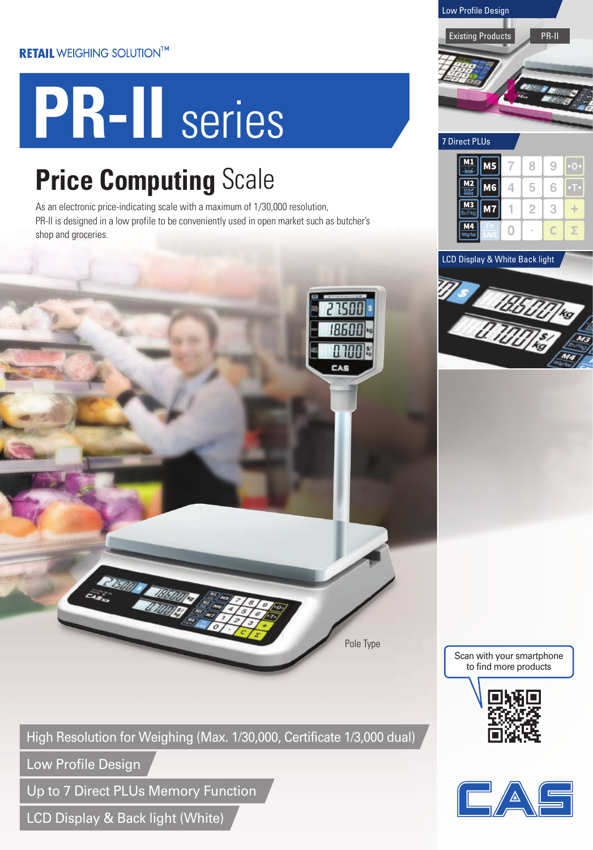## **RETAIL WEIGHING SOLUTION™**

# **PR-II** series

## **Price Computing** Scale

As an electronic price-indicating scale with a maximum of 1/30,000 resolution, PR-II is designed in a low profile to be conveniently used in open market such as butcher's shop and groceries.



Low Profile Design

Up to 7 Direct PLUs Memory Function

**ENSUARE ETH.** 

LCD Display & Back light (White)





 $\bigcirc$ 

 $\overline{z}$ 

 $\sqrt{ }$ 

 $M4$ 



Scan with your smartphone to find more products

Pole Type